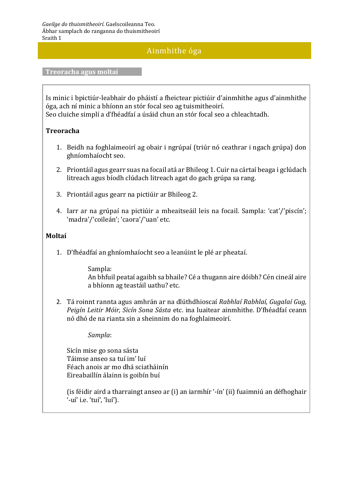#### Ainmhithe óga

**Treoracha agus moltaí**

Is minic i bpictiúr-leabhair do pháistí a fheictear pictiúir d'ainmhithe agus d'ainmhithe óga, ach ní minic a bhíonn an stór focal seo ag tuismitheoirí. Seo cluiche simplí a d'fhéadfaí a úsáid chun an stór focal seo a chleachtadh.

#### **Treoracha**

- 1. Beidh na foghlaimeoirí ag obair i ngrúpaí (triúr nó ceathrar i ngach grúpa) don ghníomhaíocht seo.
- 2. Priontáil agus gearr suas na focail atá ar Bhileog 1. Cuir na cártaí beaga i gclúdach litreach agus bíodh clúdach litreach agat do gach grúpa sa rang.
- 3. Priontáil agus gearr na pictiúir ar Bhileog 2.
- 4. Iarr ar na grúpaí na pictiúir a mheaitseáil leis na focail. Sampla: 'cat'/'piscín'; 'madra'/'coileán'; 'caora'/'uan' etc.

#### **Moltaí**

1. D'fhéadfaí an ghníomhaíocht seo a leanúint le plé ar pheataí.

Sampla: An bhfuil peataí agaibh sa bhaile? Cé a thugann aire dóibh? Cén cineál aire a bhíonn ag teastáil uathu? etc.

2. Tá roinnt rannta agus amhrán ar na dlúthdhioscaí *Rabhlaí Rabhlaí, Gugalaí Gug, Peigín Leitir Móir, Sicín Sona Sásta* etc. ina luaitear ainmhithe. D'fhéadfaí ceann nó dhó de na rianta sin a sheinnim do na foghlaimeoirí.

*Sampla*:

Sicín mise go sona sásta Táimse anseo sa tuí im' luí Féach anois ar mo dhá sciatháinín Eireabaillín álainn is goibín buí

(is féidir aird a tharraingt anseo ar (i) an iarmhír '-ín' (ii) fuaimniú an défhoghair '-uí' i.e. 'tuí', 'luí').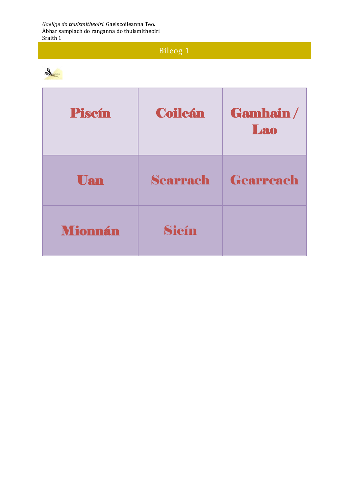*Gaeilge do thuismitheoirí*. Gaelscoileanna Teo. Ábhar samplach do ranganna do thuismitheoirí Sraith 1

### Bileog 1



| Piscín         | <b>Coileán</b>  | Gamhain/<br>Lao |
|----------------|-----------------|-----------------|
| <b>Uan</b>     | <b>Searrach</b> | Gearreach       |
| <b>Mionnán</b> | Sicín           |                 |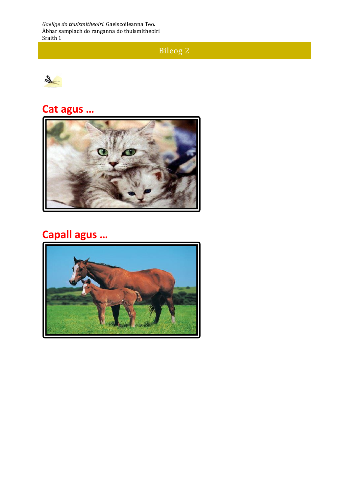Bileog 2



## **Cat agus …**



### **Capall agus …**

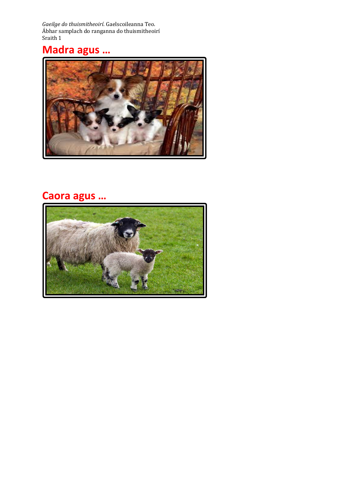### **Madra agus …**



### **Caora agus …**

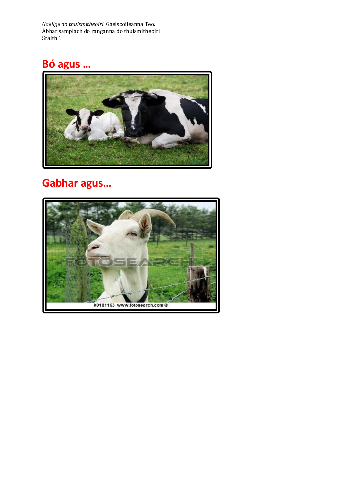## **Bó agus …**



### **Gabhar agus…**